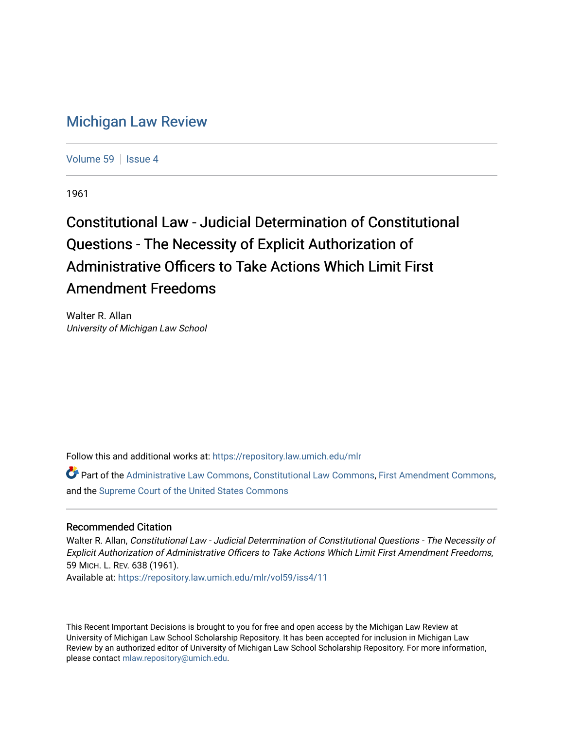## [Michigan Law Review](https://repository.law.umich.edu/mlr)

[Volume 59](https://repository.law.umich.edu/mlr/vol59) | [Issue 4](https://repository.law.umich.edu/mlr/vol59/iss4)

1961

## Constitutional Law - Judicial Determination of Constitutional Questions - The Necessity of Explicit Authorization of Administrative Officers to Take Actions Which Limit First Amendment Freedoms

Walter R. Allan University of Michigan Law School

Follow this and additional works at: [https://repository.law.umich.edu/mlr](https://repository.law.umich.edu/mlr?utm_source=repository.law.umich.edu%2Fmlr%2Fvol59%2Fiss4%2F11&utm_medium=PDF&utm_campaign=PDFCoverPages) 

Part of the [Administrative Law Commons,](http://network.bepress.com/hgg/discipline/579?utm_source=repository.law.umich.edu%2Fmlr%2Fvol59%2Fiss4%2F11&utm_medium=PDF&utm_campaign=PDFCoverPages) [Constitutional Law Commons,](http://network.bepress.com/hgg/discipline/589?utm_source=repository.law.umich.edu%2Fmlr%2Fvol59%2Fiss4%2F11&utm_medium=PDF&utm_campaign=PDFCoverPages) [First Amendment Commons,](http://network.bepress.com/hgg/discipline/1115?utm_source=repository.law.umich.edu%2Fmlr%2Fvol59%2Fiss4%2F11&utm_medium=PDF&utm_campaign=PDFCoverPages) and the [Supreme Court of the United States Commons](http://network.bepress.com/hgg/discipline/1350?utm_source=repository.law.umich.edu%2Fmlr%2Fvol59%2Fiss4%2F11&utm_medium=PDF&utm_campaign=PDFCoverPages)

## Recommended Citation

Walter R. Allan, Constitutional Law - Judicial Determination of Constitutional Questions - The Necessity of Explicit Authorization of Administrative Officers to Take Actions Which Limit First Amendment Freedoms, 59 MICH. L. REV. 638 (1961).

Available at: [https://repository.law.umich.edu/mlr/vol59/iss4/11](https://repository.law.umich.edu/mlr/vol59/iss4/11?utm_source=repository.law.umich.edu%2Fmlr%2Fvol59%2Fiss4%2F11&utm_medium=PDF&utm_campaign=PDFCoverPages) 

This Recent Important Decisions is brought to you for free and open access by the Michigan Law Review at University of Michigan Law School Scholarship Repository. It has been accepted for inclusion in Michigan Law Review by an authorized editor of University of Michigan Law School Scholarship Repository. For more information, please contact [mlaw.repository@umich.edu.](mailto:mlaw.repository@umich.edu)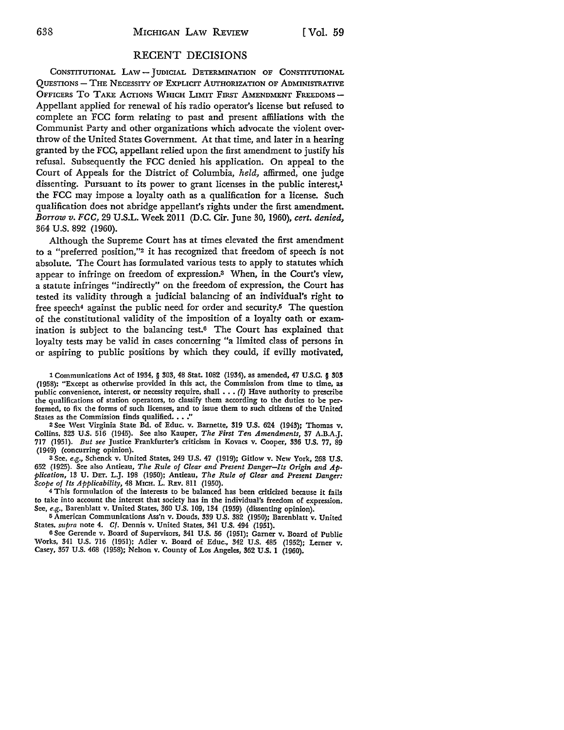## RECENT DECISIONS

CONSTITUTIONAL LAW - JUDICIAL DETERMINATION OF CONSTITUTIONAL QUESTIONS - THE NECESSITY OF EXPLICIT AUTHORIZATION OF ADMINISTRATIVE OFFICERS TO TAKE ACTIONS WHICH LIMIT FIRST AMENDMENT FREEDOMS -Appellant applied for renewal of his radio operator's license but refused to complete an FCC form relating to past and present affiliations with the Communist Party and other organizations which advocate the violent overthrow of the United States Government. At that time, and later in a hearing granted by the FCC, appellant relied upon the first amendment to justify his refusal. Subsequently the FCC denied his application. On appeal to the Court of Appeals for the District of Columbia, *held,* affirmed, one judge dissenting. Pursuant to its power to grant licenses in the public interest,<sup>1</sup> the FCC may impose a loyalty oath as a qualification for a license. Such qualification does not abridge appellant's rights under the first amendment. *Borrow v. FCC,* 29 U.S.L. Week 2011 (D.C. Cir. June 30, 1960), *cert. denied,*  364 U.S. 892 (1960).

Although the Supreme Court has at times elevated the first amendment to a "preferred position,"2 it has recognized that freedom of speech is not absolute. The Court has formulated various tests to apply to statutes which appear to infringe on freedom of expression.3 When, in the Court's view, a statute infringes "indirectly" on the freedom of expression, the Court has tested its validity through a judicial balancing of an individual's right to free speech<sup>4</sup> against the public need for order and security.<sup>5</sup> The question of the constitutional validity of the imposition of a loyalty oath or examination is subject to the balancing test.6 The Court has explained that loyalty tests may be valid in cases concerning "a limited class of persons in or aspiring to public positions by which they could, if evilly motivated,

2 See West Virginia State Bd. of Educ. v. Barnette, 319 U.S. 624 (1943); Thomas v. Collins, 323 U.S. 516 (1945). See also Kauper, *The First Ten Amendments,* 37 A.B.A.J. 717 (1951). *But see* Justice Frankfurter's criticism in Kovacs v. Cooper, 336 U.S. 77, 89 (1949) (concurring opinion).

<sup>3</sup>See, *e.g.,* Schenck v. United States, 249 U.S. 47 (1919); Gitlow v. New York, 268 U.S. 652 (1925). See also Antieau, *The Rule of Clear and Present Danger-Its Origin and Application,* 13 U. DET. L.J. 198 (1950); Antieau, *The Rule of Clear and Present Danger: Scope of Its Applicability,* 48 MrcH. L. REv. Sll (1950).

<sup>4</sup>This formulation of the interests to be balanced has been criticized because it fails to take into account the interest that society has in the individual's freedom of expression. See, *e.g.,* Barenblatt v. United States, 360 U.S. 109, 134 (1959) (dissenting opinion).

5 American Communications Ass'n v. Douds, 339 U.S. 382 (1950); Barenblatt v. United States, *mpra* note 4. *Cf.* Dennis v. United States, 341 U.S. 494 (1951).

<sup>6</sup>See Gerende v. Board of Supervisors, 341 U.S. 56 (1951): Garner v. Board of Public Works, 341 U.S. 716 (1951); Adler v. Board of Educ., 342 U.S. 485 (1952); Lerner v. Casey, 357 U.S. 468 (1958); Nelson v. County of Los Angeles, 362 U.S. 1 (1960).

<sup>1</sup> Communications Act of 1934, § 303, 48 Stat. 1082 (1934), as amended, 47 U.S.C. § 303 (1958): "Except as otherwise provided in this act, the Commission from time to time, as public convenience, interest, or necessity require, shall  $\ldots$  (*l*) Have authority to prescribe the qualifications of station operators, to classify them according to the duties to be performed, to fix the forms of such licenses, and to issue them to such citizens of the United States as the Commission finds qualified.  $\ldots$ ."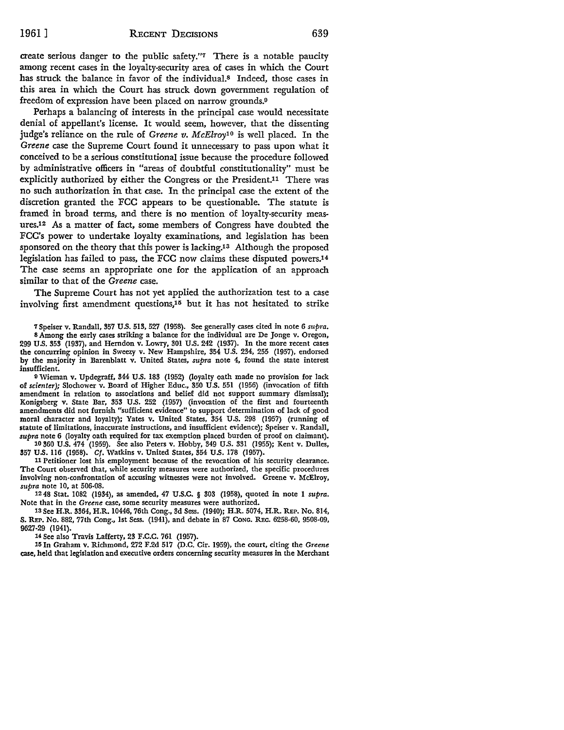create serious danger to the public safety."7 There is a notable paucity among recent cases in the loyalty-security area of cases in which the Court has struck the balance in favor of the individual.<sup>8</sup> Indeed, those cases in this area in which the Court has struck down government regulation of freedom of expression have been placed on narrow grounds.<sup>9</sup>

Perhaps a balancing of interests in the principal case would necessitate denial of appellant's license. It would seem, however, that the dissenting judge's reliance on the rule of *Greene v. McElroy10* is well placed. In the *Greene* case the Supreme Court found it unnecessary to pass upon what it conceived to be a serious constitutional issue because the procedure followed by administrative officers in "areas of doubtful constitutionality" must be explicitly authorized by either the Congress or the President.11 There was no such authorization in that case. In the principal case the extent of the discretion granted the FCC appears to be questionable. The statute is framed in broad terms, and there is no mention of loyalty-security measures.12 As a matter of fact, some members of Congress have doubted the FCC's power to undertake loyalty examinations, and legislation has been sponsored on the theory that this power is lacking.13 Although the proposed legislation has failed to pass, the FCC now claims these disputed powers.14 The case seems an appropriate one for the application of an approach similar to that of the *Greene* case.

The Supreme Court has not yet applied the authorization test to a case involving first amendment questions, $15$  but it has not hesitated to strike

7 Speiser v. Randall, 357 U.S. 513, 527 (1958). See generally cases cited in note 6 *supra.*  8 Among the early cases striking a balance for the individual are De Jonge v. Oregon, 299 U.S. 353 (1937), and Herndon v. Lowry, 301 U.S. 242 (1937). In the more recent cases the concurring opinion in Sweezy v. New Hampshire, 354 U.S. 234, 255 (1957), endorsed by the majority in Barenblatt v. United States, *supra* note 4, found the state interest insufficient.

o Wieman v. Updegraff, 344 U.S. 183 (1952) (loyalty oath made no provision for lack of *scienter);* Slochower v. Board of Higher Educ., 350 U.S. 551 (1956) (invocation of fifth amendment in relation to associations and belief did not support summary dismissal); Konigsberg v. State Bar, 353 U.S. 252 (1957) (invocation of the first and fourteenth amendments did not furnish "sufficient evidence" to support determination of lack of good moral character and loyalty); Yates v. United States, 354 U.S. 298 (1957) (running of statute of limitations, inaccurate instructions, and insufficient evidence); Speiser v. Randall, *supra* note 6 (loyalty oath required for tax exemption placed burden of proof on claimant). 10 360 U.S. 474 (1959). See also Peters v. Hobby, 349 U.S. 331 (1955); Kent v. Dulles,

357 U.S. 116 (1958). Cf. Watkins v. United States, 354 U.S. 178 (1957).

11 Petitioner lost his employment because of the revocation of his security clearance. The Court observed that, while security measures were authorized, the specific procedures involving non-confrontation of accusing witnesses were not involved. Greene v. McElroy, *supra* note 10, at 506-08.

12 48 Stat. 1082 (1934), as amended, 47 U .S.C. § 303 (1958), quoted in note I *supra.*  Note that in the *Greene* case, some security measures were authorized.

13 See H.R. 3364, H.R. 10446, 76th Cong., 3d Sess. (1940); H.R. 5074, H.R. REP. No. 814, S. REP. No. 882, 77th Cong., 1st Sess. (1941), and debate in 87 CONG. REc. 6258-60, 9508-09, 9627-29 (1941).

14 See also Travis Lafferty, 23 F.C.C. 761 (1957).

111 In Graham v. Richmond, 272 F.2d 517 (D.C. Cir. 1959), the court, citing the *Greene*  case, held that legislation and executive orders concerning security measures in the Merchant